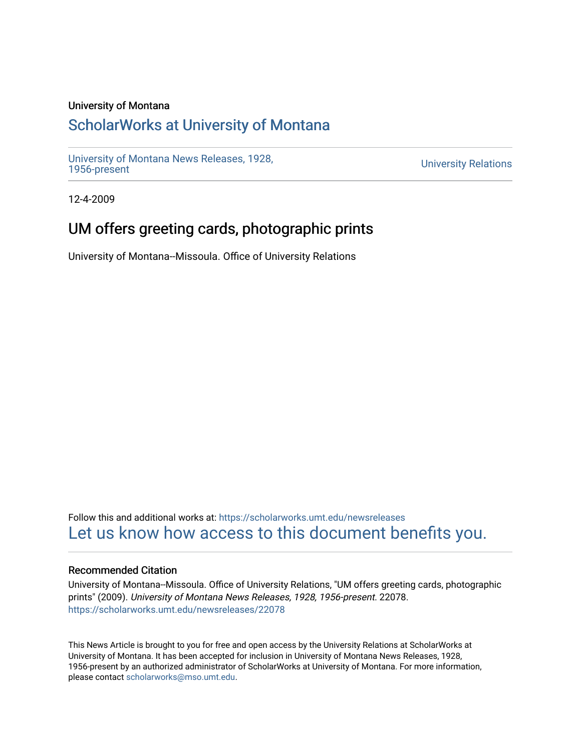#### University of Montana

### [ScholarWorks at University of Montana](https://scholarworks.umt.edu/)

[University of Montana News Releases, 1928,](https://scholarworks.umt.edu/newsreleases) 

**University Relations** 

12-4-2009

# UM offers greeting cards, photographic prints

University of Montana--Missoula. Office of University Relations

Follow this and additional works at: [https://scholarworks.umt.edu/newsreleases](https://scholarworks.umt.edu/newsreleases?utm_source=scholarworks.umt.edu%2Fnewsreleases%2F22078&utm_medium=PDF&utm_campaign=PDFCoverPages) [Let us know how access to this document benefits you.](https://goo.gl/forms/s2rGfXOLzz71qgsB2) 

#### Recommended Citation

University of Montana--Missoula. Office of University Relations, "UM offers greeting cards, photographic prints" (2009). University of Montana News Releases, 1928, 1956-present. 22078. [https://scholarworks.umt.edu/newsreleases/22078](https://scholarworks.umt.edu/newsreleases/22078?utm_source=scholarworks.umt.edu%2Fnewsreleases%2F22078&utm_medium=PDF&utm_campaign=PDFCoverPages) 

This News Article is brought to you for free and open access by the University Relations at ScholarWorks at University of Montana. It has been accepted for inclusion in University of Montana News Releases, 1928, 1956-present by an authorized administrator of ScholarWorks at University of Montana. For more information, please contact [scholarworks@mso.umt.edu.](mailto:scholarworks@mso.umt.edu)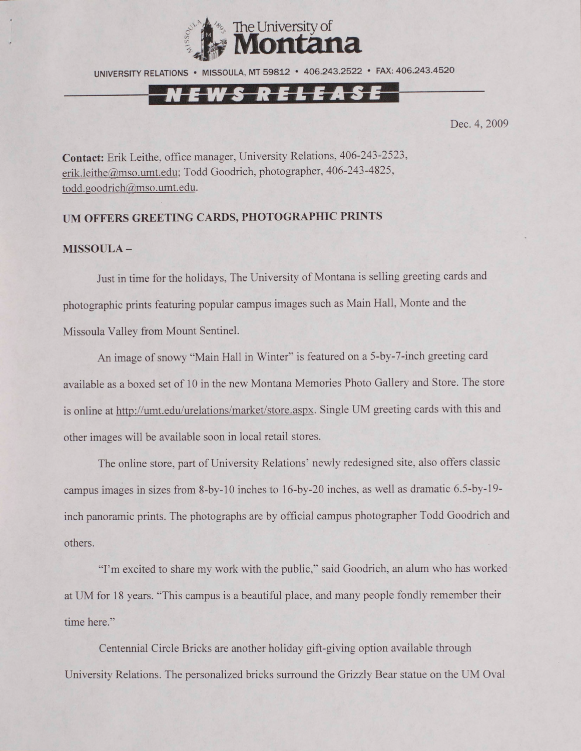

UNIVERSITY RELATIONS • MISSOULA. MT 59812 • 406.243.2522 • FAX: 406.243.4520

# <del>ews release</del>

Dec. 4, 2009

**Contact:** Erik Leithe, office manager, University Relations, 406-243-2523, [erik.leithe@mso.umt.edu](mailto:erik.leithe@mso.umt.edu): Todd Goodrich, photographer, 406-243-4825, [todd.goodrich@mso.umt.edu](mailto:todd.goodrich@mso.umt.edu).

### **UM OFFERS GREETING CARDS, PHOTOGRAPHIC PRINTS**

### **MISSOULA -**

Just in time for the holidays. The University of Montana is selling greeting cards and photographic prints featuring popular campus images such as Main Hall, Monte and the Missoula Valley from Mount Sentinel.

An image of snowy "Main Hall in Winter" is featured on a 5-by-7-inch greeting card available as a boxed set of 10 in the new Montana Memories Photo Gallery and Store. The store is online at [http://umt.edu/urelations/market/store.aspx.](http://umt.edu/urelations/market/store.aspx) Single UM greeting cards with this and other images will be available soon in local retail stores.

The online store, part of University Relations' newly redesigned site, also offers classic campus images in sizes from 8-by-10 inches to 16-by-20 inches, as well as dramatic 6.5-by-19 inch panoramic prints. The photographs are by official campus photographer Todd Goodrich and others.

"I'm excited to share my work with the public," said Goodrich, an alum who has worked at UM for 18 years. "This campus is a beautiful place, and many people fondly remember their time here."

Centennial Circle Bricks are another holiday gift-giving option available through University Relations. The personalized bricks surround the Grizzly Bear statue on the UM Oval